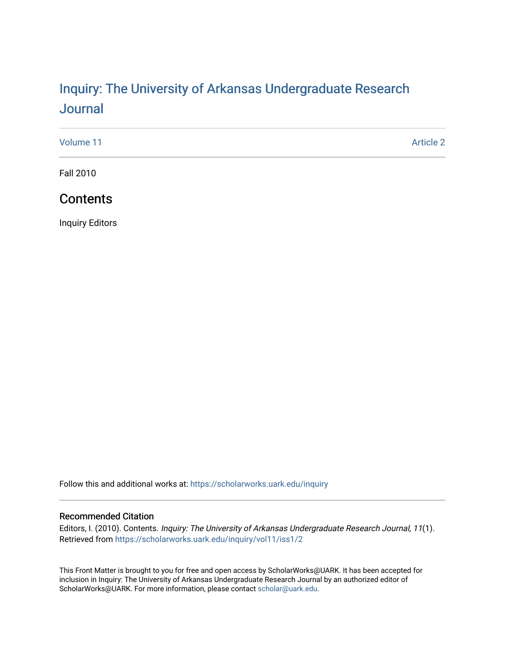# Inquiry: The Univ[ersity of Arkansas Undergraduate Resear](https://scholarworks.uark.edu/inquiry)ch [Journal](https://scholarworks.uark.edu/inquiry)

[Volume 11](https://scholarworks.uark.edu/inquiry/vol11) Article 2

Fall 2010

# **Contents**

Inquiry Editors

Follow this and additional works at: [https://scholarworks.uark.edu/inquiry](https://scholarworks.uark.edu/inquiry?utm_source=scholarworks.uark.edu%2Finquiry%2Fvol11%2Fiss1%2F2&utm_medium=PDF&utm_campaign=PDFCoverPages)

#### Recommended Citation

Editors, I. (2010). Contents. Inquiry: The University of Arkansas Undergraduate Research Journal, 11(1). Retrieved from [https://scholarworks.uark.edu/inquiry/vol11/iss1/2](https://scholarworks.uark.edu/inquiry/vol11/iss1/2?utm_source=scholarworks.uark.edu%2Finquiry%2Fvol11%2Fiss1%2F2&utm_medium=PDF&utm_campaign=PDFCoverPages)

This Front Matter is brought to you for free and open access by ScholarWorks@UARK. It has been accepted for inclusion in Inquiry: The University of Arkansas Undergraduate Research Journal by an authorized editor of ScholarWorks@UARK. For more information, please contact [scholar@uark.edu](mailto:scholar@uark.edu).